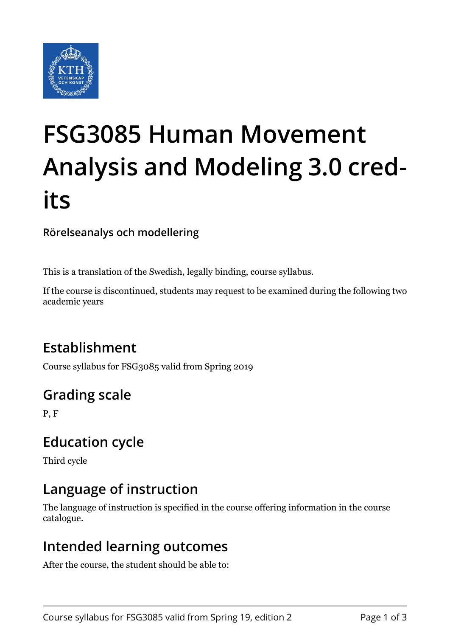

# **FSG3085 Human Movement Analysis and Modeling 3.0 credits**

**Rörelseanalys och modellering**

This is a translation of the Swedish, legally binding, course syllabus.

If the course is discontinued, students may request to be examined during the following two academic years

# **Establishment**

Course syllabus for FSG3085 valid from Spring 2019

# **Grading scale**

P, F

# **Education cycle**

Third cycle

# **Language of instruction**

The language of instruction is specified in the course offering information in the course catalogue.

## **Intended learning outcomes**

After the course, the student should be able to: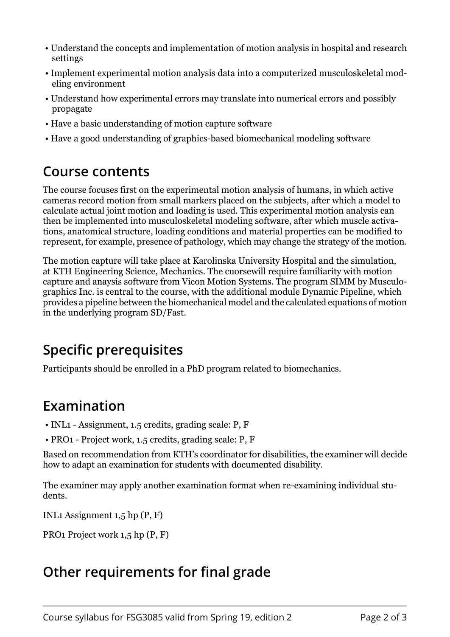- Understand the concepts and implementation of motion analysis in hospital and research settings
- Implement experimental motion analysis data into a computerized musculoskeletal modeling environment
- Understand how experimental errors may translate into numerical errors and possibly propagate
- Have a basic understanding of motion capture software
- Have a good understanding of graphics-based biomechanical modeling software

#### **Course contents**

The course focuses first on the experimental motion analysis of humans, in which active cameras record motion from small markers placed on the subjects, after which a model to calculate actual joint motion and loading is used. This experimental motion analysis can then be implemented into musculoskeletal modeling software, after which muscle activations, anatomical structure, loading conditions and material properties can be modified to represent, for example, presence of pathology, which may change the strategy of the motion.

The motion capture will take place at Karolinska University Hospital and the simulation, at KTH Engineering Science, Mechanics. The cuorsewill require familiarity with motion capture and anaysis software from Vicon Motion Systems. The program SIMM by Musculographics Inc. is central to the course, with the additional module Dynamic Pipeline, which provides a pipeline between the biomechanical model and the calculated equations of motion in the underlying program SD/Fast.

## **Specific prerequisites**

Participants should be enrolled in a PhD program related to biomechanics.

## **Examination**

- INL1 Assignment, 1.5 credits, grading scale: P, F
- PRO1 Project work, 1.5 credits, grading scale: P, F

Based on recommendation from KTH's coordinator for disabilities, the examiner will decide how to adapt an examination for students with documented disability.

The examiner may apply another examination format when re-examining individual students.

INL1 Assignment 1,5 hp (P, F)

PRO1 Project work 1,5 hp (P, F)

# **Other requirements for final grade**